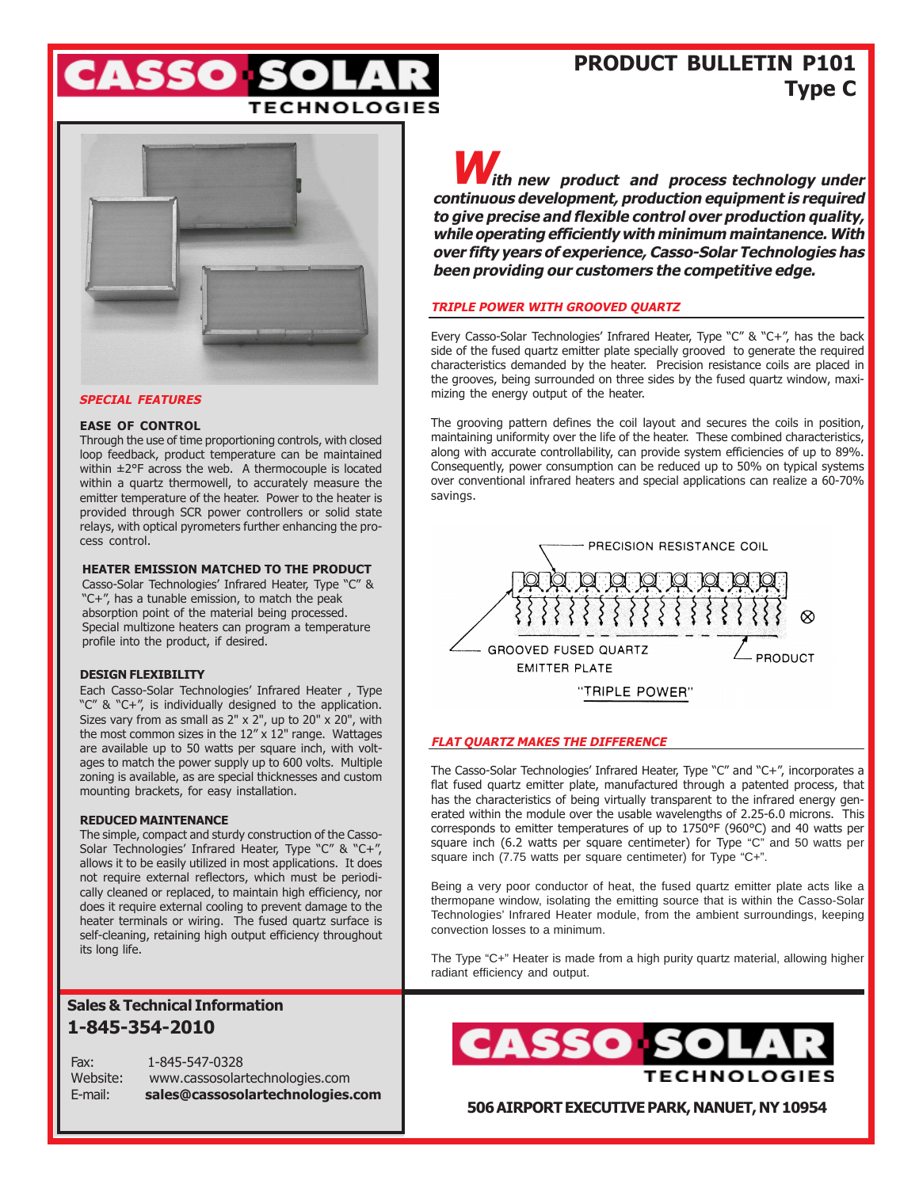

## **PRODUCT BULLETIN P101 Type C**



#### **SPECIAL FEATURES**

#### **EASE OF CONTROL**

Through the use of time proportioning controls, with closed loop feedback, product temperature can be maintained within ±2°F across the web. A thermocouple is located within a quartz thermowell, to accurately measure the emitter temperature of the heater. Power to the heater is provided through SCR power controllers or solid state relays, with optical pyrometers further enhancing the process control.

#### **HEATER EMISSION MATCHED TO THE PRODUCT**

Casso-Solar Technologies' Infrared Heater, Type "C" & "C+", has a tunable emission, to match the peak absorption point of the material being processed. Special multizone heaters can program a temperature profile into the product, if desired.

#### **DESIGN FLEXIBILITY**

Each Casso-Solar Technologies' Infrared Heater , Type "C" & "C+", is individually designed to the application. Sizes vary from as small as 2" x 2", up to 20" x 20", with the most common sizes in the 12" x 12" range. Wattages are available up to 50 watts per square inch, with voltages to match the power supply up to 600 volts. Multiple zoning is available, as are special thicknesses and custom mounting brackets, for easy installation.

#### **REDUCED MAINTENANCE**

The simple, compact and sturdy construction of the Casso-Solar Technologies' Infrared Heater, Type "C" & "C+", allows it to be easily utilized in most applications. It does not require external reflectors, which must be periodically cleaned or replaced, to maintain high efficiency, nor does it require external cooling to prevent damage to the heater terminals or wiring. The fused quartz surface is self-cleaning, retaining high output efficiency throughout its long life.

### **Sales & Technical Information 1-845-354-2010**

Fax: 1-845-547-0328 Website: www.cassosolartechnologies.com E-mail: **sales@cassosolartechnologies.com**

*M ith new product and process technology under* **continuous development, production equipment is required to give precise and flexible control over production quality, while operating efficiently with minimum maintanence. With over fifty years of experience, Casso-Solar Technologies has been providing our customers the competitive edge.**

#### **TRIPLE POWER WITH GROOVED QUARTZ**

Every Casso-Solar Technologies' Infrared Heater, Type "C" & "C+", has the back side of the fused quartz emitter plate specially grooved to generate the required characteristics demanded by the heater. Precision resistance coils are placed in the grooves, being surrounded on three sides by the fused quartz window, maximizing the energy output of the heater.

The grooving pattern defines the coil layout and secures the coils in position, maintaining uniformity over the life of the heater. These combined characteristics, along with accurate controllability, can provide system efficiencies of up to 89%. Consequently, power consumption can be reduced up to 50% on typical systems over conventional infrared heaters and special applications can realize a 60-70% savings.



#### **FLAT QUARTZ MAKES THE DIFFERENCE**

The Casso-Solar Technologies' Infrared Heater, Type "C" and "C+", incorporates a flat fused quartz emitter plate, manufactured through a patented process, that has the characteristics of being virtually transparent to the infrared energy generated within the module over the usable wavelengths of 2.25-6.0 microns. This corresponds to emitter temperatures of up to 1750°F (960°C) and 40 watts per square inch (6.2 watts per square centimeter) for Type "C" and 50 watts per square inch (7.75 watts per square centimeter) for Type "C+".

Being a very poor conductor of heat, the fused quartz emitter plate acts like a thermopane window, isolating the emitting source that is within the Casso-Solar Technologies' Infrared Heater module, from the ambient surroundings, keeping convection losses to a minimum.

The Type "C+" Heater is made from a high purity quartz material, allowing higher radiant efficiency and output.



**506 AIRPORT EXECUTIVE PARK, NANUET, NY 10954**